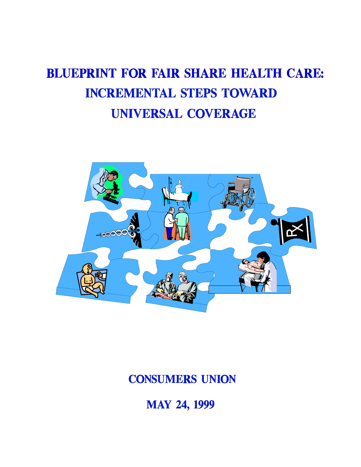# **BLUEPRINT FOR FAIR SHARE HEALTH CARE: INCREMENTAL STEPS TOWARD UNIVERSAL COVERAGE**



**CONSUMERS UNION** 

**MAY 24, 1999**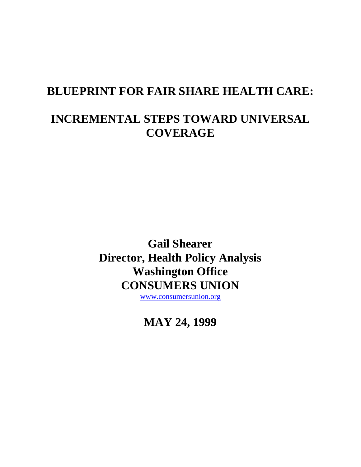## **BLUEPRINT FOR FAIR SHARE HEALTH CARE:**

# **INCREMENTAL STEPS TOWARD UNIVERSAL COVERAGE**

**Gail Shearer Director, Health Policy Analysis Washington Office CONSUMERS UNION**

[www.consumersunion.org](http://www.consumeresunion.org/)

**MAY 24, 1999**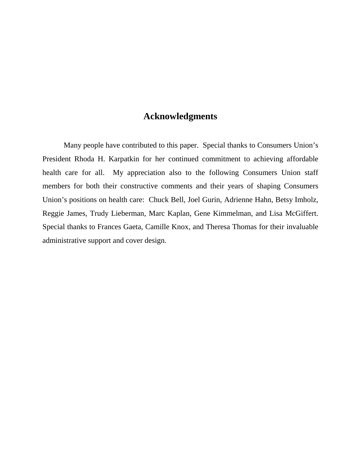### **Acknowledgments**

Many people have contributed to this paper. Special thanks to Consumers Union's President Rhoda H. Karpatkin for her continued commitment to achieving affordable health care for all. My appreciation also to the following Consumers Union staff members for both their constructive comments and their years of shaping Consumers Union's positions on health care: Chuck Bell, Joel Gurin, Adrienne Hahn, Betsy Imholz, Reggie James, Trudy Lieberman, Marc Kaplan, Gene Kimmelman, and Lisa McGiffert. Special thanks to Frances Gaeta, Camille Knox, and Theresa Thomas for their invaluable administrative support and cover design.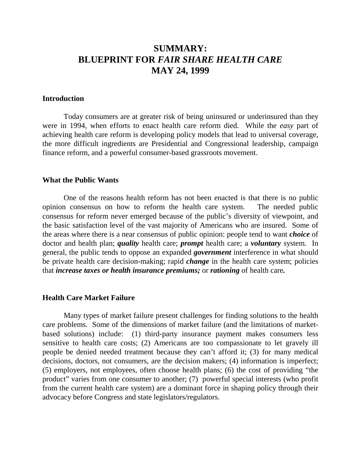### **SUMMARY: BLUEPRINT FOR** *FAIR SHARE HEALTH CARE* **MAY 24, 1999**

#### **Introduction**

Today consumers are at greater risk of being uninsured or underinsured than they were in 1994, when efforts to enact health care reform died. While the *easy* part of achieving health care reform is developing policy models that lead to universal coverage, the more difficult ingredients are Presidential and Congressional leadership, campaign finance reform, and a powerful consumer-based grassroots movement.

#### **What the Public Wants**

One of the reasons health reform has not been enacted is that there is no public opinion consensus on how to reform the health care system. The needed public consensus for reform never emerged because of the public's diversity of viewpoint, and the basic satisfaction level of the vast majority of Americans who are insured. Some of the areas where there is a near consensus of public opinion: people tend to want *choice* of doctor and health plan; *quality* health care; *prompt* health care; a *voluntary* system. In general, the public tends to oppose an expanded *government* interference in what should be private health care decision-making; rapid *change* in the health care system; policies that *increase taxes or health insurance premiums;* or *rationing* of health care*.*

#### **Health Care Market Failure**

Many types of market failure present challenges for finding solutions to the health care problems. Some of the dimensions of market failure (and the limitations of marketbased solutions) include: (1) third-party insurance payment makes consumers less sensitive to health care costs; (2) Americans are too compassionate to let gravely ill people be denied needed treatment because they can't afford it; (3) for many medical decisions, doctors, not consumers, are the decision makers; (4) information is imperfect; (5) employers, not employees, often choose health plans; (6) the cost of providing "the product" varies from one consumer to another; (7) powerful special interests (who profit from the current health care system) are a dominant force in shaping policy through their advocacy before Congress and state legislators/regulators.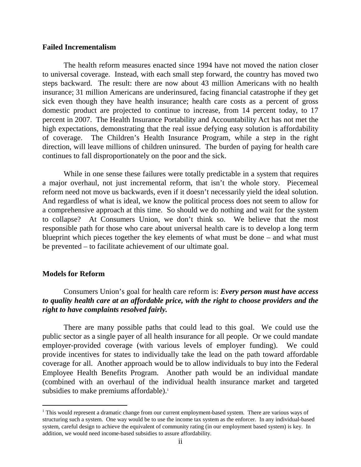#### **Failed Incrementalism**

The health reform measures enacted since 1994 have not moved the nation closer to universal coverage. Instead, with each small step forward, the country has moved two steps backward. The result: there are now about 43 million Americans with no health insurance; 31 million Americans are underinsured, facing financial catastrophe if they get sick even though they have health insurance; health care costs as a percent of gross domestic product are projected to continue to increase, from 14 percent today, to 17 percent in 2007. The Health Insurance Portability and Accountability Act has not met the high expectations, demonstrating that the real issue defying easy solution is affordability of coverage. The Children's Health Insurance Program, while a step in the right direction, will leave millions of children uninsured. The burden of paying for health care continues to fall disproportionately on the poor and the sick.

While in one sense these failures were totally predictable in a system that requires a major overhaul, not just incremental reform, that isn't the whole story. Piecemeal reform need not move us backwards, even if it doesn't necessarily yield the ideal solution. And regardless of what is ideal, we know the political process does not seem to allow for a comprehensive approach at this time. So should we do nothing and wait for the system to collapse? At Consumers Union, we don't think so. We believe that the most responsible path for those who care about universal health care is to develop a long term blueprint which pieces together the key elements of what must be done – and what must be prevented – to facilitate achievement of our ultimate goal.

#### **Models for Reform**

 $\overline{a}$ 

Consumers Union's goal for health care reform is: *Every person must have access to quality health care at an affordable price, with the right to choose providers and the right to have complaints resolved fairly.*

There are many possible paths that could lead to this goal. We could use the public sector as a single payer of all health insurance for all people. Or we could mandate employer-provided coverage (with various levels of employer funding). We could provide incentives for states to individually take the lead on the path toward affordable coverage for all. Another approach would be to allow individuals to buy into the Federal Employee Health Benefits Program. Another path would be an individual mandate (combined with an overhaul of the individual health insurance market and targeted subsidies to make premiums affordable).<sup>1</sup>

<sup>&</sup>lt;sup>1</sup> This would represent a dramatic change from our current employment-based system. There are various ways of structuring such a system. One way would be to use the income tax system as the enforcer. In any individual-based system, careful design to achieve the equivalent of community rating (in our employment based system) is key. In addition, we would need income-based subsidies to assure affordability.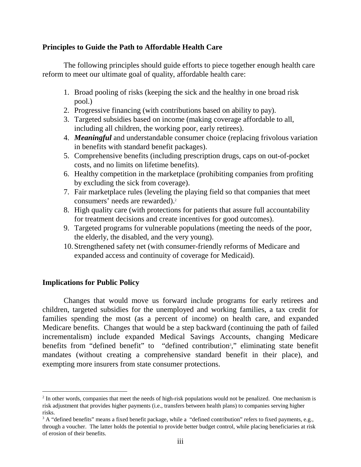#### **Principles to Guide the Path to Affordable Health Care**

The following principles should guide efforts to piece together enough health care reform to meet our ultimate goal of quality, affordable health care:

- 1. Broad pooling of risks (keeping the sick and the healthy in one broad risk pool.)
- 2. Progressive financing (with contributions based on ability to pay).
- 3. Targeted subsidies based on income (making coverage affordable to all, including all children, the working poor, early retirees).
- 4. *Meaningful* and understandable consumer choice (replacing frivolous variation in benefits with standard benefit packages).
- 5. Comprehensive benefits (including prescription drugs, caps on out-of-pocket costs, and no limits on lifetime benefits).
- 6. Healthy competition in the marketplace (prohibiting companies from profiting by excluding the sick from coverage).
- 7. Fair marketplace rules (leveling the playing field so that companies that meet consumers' needs are rewarded).<sup>2</sup>
- 8. High quality care (with protections for patients that assure full accountability for treatment decisions and create incentives for good outcomes).
- 9. Targeted programs for vulnerable populations (meeting the needs of the poor, the elderly, the disabled, and the very young).
- 10.Strengthened safety net (with consumer-friendly reforms of Medicare and expanded access and continuity of coverage for Medicaid).

### **Implications for Public Policy**

 $\overline{a}$ 

Changes that would move us forward include programs for early retirees and children, targeted subsidies for the unemployed and working families, a tax credit for families spending the most (as a percent of income) on health care, and expanded Medicare benefits. Changes that would be a step backward (continuing the path of failed incrementalism) include expanded Medical Savings Accounts, changing Medicare benefits from "defined benefit" to "defined contribution<sup>3</sup>," eliminating state benefit mandates (without creating a comprehensive standard benefit in their place), and exempting more insurers from state consumer protections.

 $2<sup>2</sup>$  In other words, companies that meet the needs of high-risk populations would not be penalized. One mechanism is risk adjustment that provides higher payments (i.e., transfers between health plans) to companies serving higher risks.

 $3A$  "defined benefits" means a fixed benefit package, while a "defined contribution" refers to fixed payments, e.g., through a voucher. The latter holds the potential to provide better budget control, while placing beneficiaries at risk of erosion of their benefits.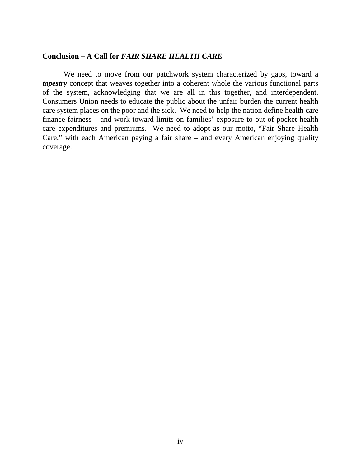#### **Conclusion – A Call for** *FAIR SHARE HEALTH CARE*

We need to move from our patchwork system characterized by gaps, toward a *tapestry* concept that weaves together into a coherent whole the various functional parts of the system, acknowledging that we are all in this together, and interdependent. Consumers Union needs to educate the public about the unfair burden the current health care system places on the poor and the sick. We need to help the nation define health care finance fairness – and work toward limits on families' exposure to out-of-pocket health care expenditures and premiums. We need to adopt as our motto, "Fair Share Health Care," with each American paying a fair share – and every American enjoying quality coverage.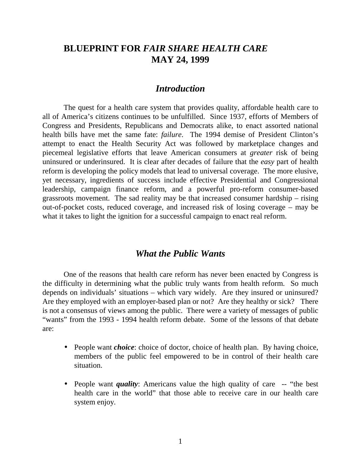### **BLUEPRINT FOR** *FAIR SHARE HEALTH CARE* **MAY 24, 1999**

### *Introduction*

The quest for a health care system that provides quality, affordable health care to all of America's citizens continues to be unfulfilled. Since 1937, efforts of Members of Congress and Presidents, Republicans and Democrats alike, to enact assorted national health bills have met the same fate: *failure*. The 1994 demise of President Clinton's attempt to enact the Health Security Act was followed by marketplace changes and piecemeal legislative efforts that leave American consumers at *greater* risk of being uninsured or underinsured. It is clear after decades of failure that the *easy* part of health reform is developing the policy models that lead to universal coverage. The more elusive, yet necessary, ingredients of success include effective Presidential and Congressional leadership, campaign finance reform, and a powerful pro-reform consumer-based grassroots movement. The sad reality may be that increased consumer hardship – rising out-of-pocket costs, reduced coverage, and increased risk of losing coverage – may be what it takes to light the ignition for a successful campaign to enact real reform.

### *What the Public Wants*

One of the reasons that health care reform has never been enacted by Congress is the difficulty in determining what the public truly wants from health reform. So much depends on individuals' situations – which vary widely. Are they insured or uninsured? Are they employed with an employer-based plan or not? Are they healthy or sick? There is not a consensus of views among the public. There were a variety of messages of public "wants" from the 1993 - 1994 health reform debate. Some of the lessons of that debate are:

- People want *choice*: choice of doctor, choice of health plan. By having choice, members of the public feel empowered to be in control of their health care situation.
- People want *quality*: Americans value the high quality of care -- "the best" health care in the world" that those able to receive care in our health care system enjoy.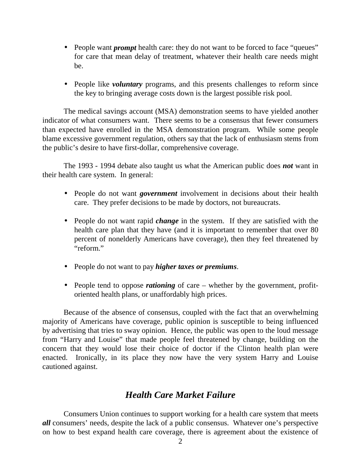- People want *prompt* health care: they do not want to be forced to face "queues" for care that mean delay of treatment, whatever their health care needs might be.
- People like *voluntary* programs, and this presents challenges to reform since the key to bringing average costs down is the largest possible risk pool.

The medical savings account (MSA) demonstration seems to have yielded another indicator of what consumers want. There seems to be a consensus that fewer consumers than expected have enrolled in the MSA demonstration program. While some people blame excessive government regulation, others say that the lack of enthusiasm stems from the public's desire to have first-dollar, comprehensive coverage.

The 1993 - 1994 debate also taught us what the American public does *not* want in their health care system. In general:

- People do not want *government* involvement in decisions about their health care. They prefer decisions to be made by doctors, not bureaucrats.
- People do not want rapid *change* in the system. If they are satisfied with the health care plan that they have (and it is important to remember that over 80 percent of nonelderly Americans have coverage), then they feel threatened by "reform."
- People do not want to pay *higher taxes or premiums*.
- People tend to oppose *rationing* of care whether by the government, profitoriented health plans, or unaffordably high prices.

Because of the absence of consensus, coupled with the fact that an overwhelming majority of Americans have coverage, public opinion is susceptible to being influenced by advertising that tries to sway opinion. Hence, the public was open to the loud message from "Harry and Louise" that made people feel threatened by change, building on the concern that they would lose their choice of doctor if the Clinton health plan were enacted. Ironically, in its place they now have the very system Harry and Louise cautioned against.

### *Health Care Market Failure*

Consumers Union continues to support working for a health care system that meets *all* consumers' needs, despite the lack of a public consensus. Whatever one's perspective on how to best expand health care coverage, there is agreement about the existence of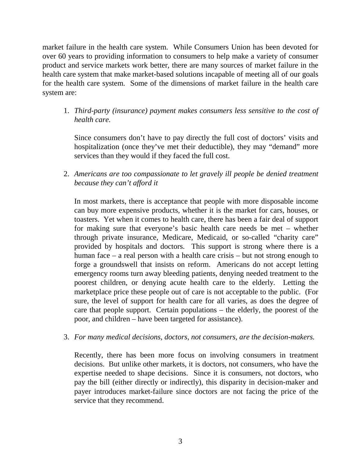market failure in the health care system. While Consumers Union has been devoted for over 60 years to providing information to consumers to help make a variety of consumer product and service markets work better, there are many sources of market failure in the health care system that make market-based solutions incapable of meeting all of our goals for the health care system. Some of the dimensions of market failure in the health care system are:

1. *Third-party (insurance) payment makes consumers less sensitive to the cost of health care.*

Since consumers don't have to pay directly the full cost of doctors' visits and hospitalization (once they've met their deductible), they may "demand" more services than they would if they faced the full cost.

2. *Americans are too compassionate to let gravely ill people be denied treatment because they can't afford it*

In most markets, there is acceptance that people with more disposable income can buy more expensive products, whether it is the market for cars, houses, or toasters. Yet when it comes to health care, there has been a fair deal of support for making sure that everyone's basic health care needs be met – whether through private insurance, Medicare, Medicaid, or so-called "charity care" provided by hospitals and doctors. This support is strong where there is a human face – a real person with a health care crisis – but not strong enough to forge a groundswell that insists on reform. Americans do not accept letting emergency rooms turn away bleeding patients, denying needed treatment to the poorest children, or denying acute health care to the elderly. Letting the marketplace price these people out of care is not acceptable to the public. (For sure, the level of support for health care for all varies, as does the degree of care that people support. Certain populations – the elderly, the poorest of the poor, and children – have been targeted for assistance).

3. *For many medical decisions, doctors, not consumers, are the decision-makers.*

Recently, there has been more focus on involving consumers in treatment decisions. But unlike other markets, it is doctors, not consumers, who have the expertise needed to shape decisions. Since it is consumers, not doctors, who pay the bill (either directly or indirectly), this disparity in decision-maker and payer introduces market-failure since doctors are not facing the price of the service that they recommend.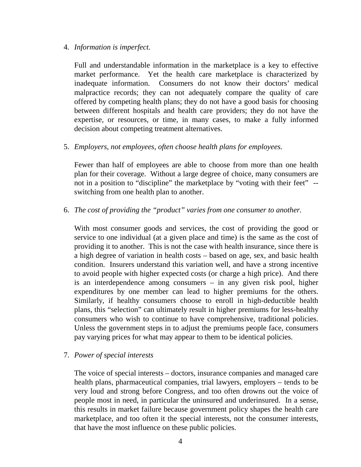#### 4. *Information is imperfect.*

Full and understandable information in the marketplace is a key to effective market performance. Yet the health care marketplace is characterized by inadequate information. Consumers do not know their doctors' medical malpractice records; they can not adequately compare the quality of care offered by competing health plans; they do not have a good basis for choosing between different hospitals and health care providers; they do not have the expertise, or resources, or time, in many cases, to make a fully informed decision about competing treatment alternatives.

#### 5. *Employers, not employees, often choose health plans for employees.*

Fewer than half of employees are able to choose from more than one health plan for their coverage. Without a large degree of choice, many consumers are not in a position to "discipline" the marketplace by "voting with their feet" - switching from one health plan to another.

6. *The cost of providing the "product" varies from one consumer to another.*

With most consumer goods and services, the cost of providing the good or service to one individual (at a given place and time) is the same as the cost of providing it to another. This is not the case with health insurance, since there is a high degree of variation in health costs – based on age, sex, and basic health condition. Insurers understand this variation well, and have a strong incentive to avoid people with higher expected costs (or charge a high price). And there is an interdependence among consumers – in any given risk pool, higher expenditures by one member can lead to higher premiums for the others. Similarly, if healthy consumers choose to enroll in high-deductible health plans, this "selection" can ultimately result in higher premiums for less-healthy consumers who wish to continue to have comprehensive, traditional policies. Unless the government steps in to adjust the premiums people face, consumers pay varying prices for what may appear to them to be identical policies.

#### 7. *Power of special interests*

The voice of special interests – doctors, insurance companies and managed care health plans, pharmaceutical companies, trial lawyers, employers – tends to be very loud and strong before Congress, and too often drowns out the voice of people most in need, in particular the uninsured and underinsured. In a sense, this results in market failure because government policy shapes the health care marketplace, and too often it the special interests, not the consumer interests, that have the most influence on these public policies.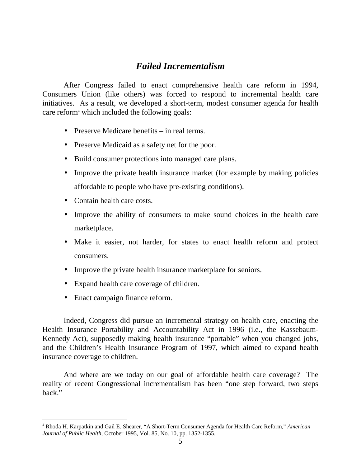### *Failed Incrementalism*

After Congress failed to enact comprehensive health care reform in 1994, Consumers Union (like others) was forced to respond to incremental health care initiatives. As a result, we developed a short-term, modest consumer agenda for health care reform<sup>4</sup> which included the following goals:

- Preserve Medicare benefits in real terms.
- Preserve Medicaid as a safety net for the poor.
- Build consumer protections into managed care plans.
- Improve the private health insurance market (for example by making policies affordable to people who have pre-existing conditions).
- Contain health care costs.
- Improve the ability of consumers to make sound choices in the health care marketplace.
- Make it easier, not harder, for states to enact health reform and protect consumers.
- Improve the private health insurance marketplace for seniors.
- Expand health care coverage of children.
- Enact campaign finance reform.

 $\overline{a}$ 

Indeed, Congress did pursue an incremental strategy on health care, enacting the Health Insurance Portability and Accountability Act in 1996 (i.e., the Kassebaum-Kennedy Act), supposedly making health insurance "portable" when you changed jobs, and the Children's Health Insurance Program of 1997, which aimed to expand health insurance coverage to children.

And where are we today on our goal of affordable health care coverage? The reality of recent Congressional incrementalism has been "one step forward, two steps back."

<sup>4</sup> Rhoda H. Karpatkin and Gail E. Shearer, "A Short-Term Consumer Agenda for Health Care Reform," *American Journal of Public Health,* October 1995, Vol. 85, No. 10, pp. 1352-1355.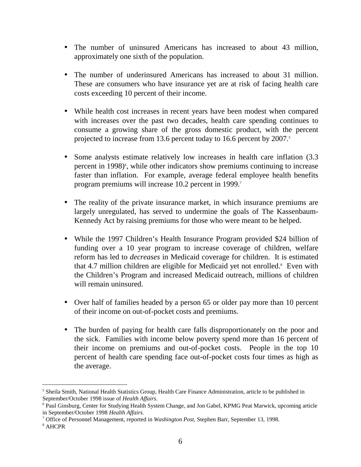- The number of uninsured Americans has increased to about 43 million, approximately one sixth of the population.
- The number of underinsured Americans has increased to about 31 million. These are consumers who have insurance yet are at risk of facing health care costs exceeding 10 percent of their income.
- While health cost increases in recent years have been modest when compared with increases over the past two decades, health care spending continues to consume a growing share of the gross domestic product, with the percent projected to increase from 13.6 percent today to 16.6 percent by 2007.<sup>5</sup>
- Some analysts estimate relatively low increases in health care inflation (3.3) percent in 1998)<sup>6</sup>, while other indicators show premiums continuing to increase faster than inflation. For example, average federal employee health benefits program premiums will increase 10.2 percent in 1999.<sup>7</sup>
- The reality of the private insurance market, in which insurance premiums are largely unregulated, has served to undermine the goals of The Kassenbaum-Kennedy Act by raising premiums for those who were meant to be helped.
- While the 1997 Children's Health Insurance Program provided \$24 billion of funding over a 10 year program to increase coverage of children, welfare reform has led to *decreases* in Medicaid coverage for children. It is estimated that 4.7 million children are eligible for Medicaid yet not enrolled.<sup>8</sup> Even with the Children's Program and increased Medicaid outreach, millions of children will remain uninsured.
- Over half of families headed by a person 65 or older pay more than 10 percent of their income on out-of-pocket costs and premiums.
- The burden of paying for health care falls disproportionately on the poor and the sick. Families with income below poverty spend more than 16 percent of their income on premiums and out-of-pocket costs. People in the top 10 percent of health care spending face out-of-pocket costs four times as high as the average.

 $\overline{a}$ 

<sup>&</sup>lt;sup>5</sup> Sheila Smith, National Health Statistics Group, Health Care Finance Administration, article to be published in September/October 1998 issue of *Health Affairs*.

<sup>&</sup>lt;sup>6</sup> Paul Ginsburg, Center for Studying Health System Change, and Jon Gabel, KPMG Peat Marwick, upcoming article in September/October 1998 *Health Affairs.*

<sup>7</sup> Office of Personnel Management, reported in *Washington Post,* Stephen Barr, September 13, 1998.

<sup>8</sup> AHCPR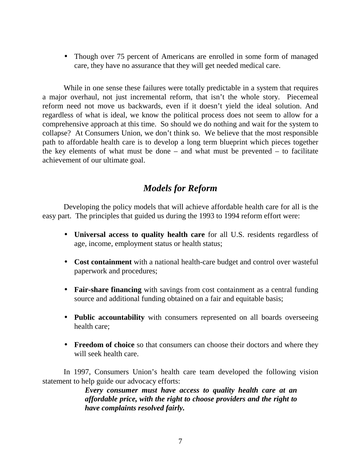• Though over 75 percent of Americans are enrolled in some form of managed care, they have no assurance that they will get needed medical care.

While in one sense these failures were totally predictable in a system that requires a major overhaul, not just incremental reform, that isn't the whole story. Piecemeal reform need not move us backwards, even if it doesn't yield the ideal solution. And regardless of what is ideal, we know the political process does not seem to allow for a comprehensive approach at this time. So should we do nothing and wait for the system to collapse? At Consumers Union, we don't think so. We believe that the most responsible path to affordable health care is to develop a long term blueprint which pieces together the key elements of what must be done  $-$  and what must be prevented  $-$  to facilitate achievement of our ultimate goal.

### *Models for Reform*

Developing the policy models that will achieve affordable health care for all is the easy part. The principles that guided us during the 1993 to 1994 reform effort were:

- **Universal access to quality health care** for all U.S. residents regardless of age, income, employment status or health status;
- **Cost containment** with a national health-care budget and control over wasteful paperwork and procedures;
- **Fair-share financing** with savings from cost containment as a central funding source and additional funding obtained on a fair and equitable basis;
- **Public accountability** with consumers represented on all boards overseeing health care;
- **Freedom of choice** so that consumers can choose their doctors and where they will seek health care.

In 1997, Consumers Union's health care team developed the following vision statement to help guide our advocacy efforts:

> *Every consumer must have access to quality health care at an affordable price, with the right to choose providers and the right to have complaints resolved fairly.*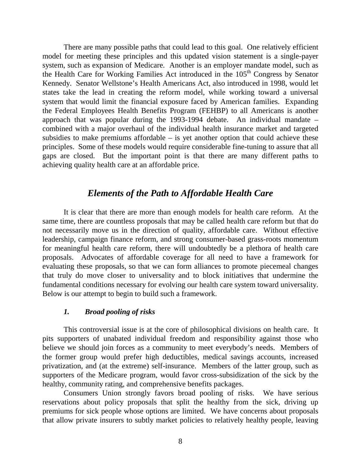There are many possible paths that could lead to this goal. One relatively efficient model for meeting these principles and this updated vision statement is a single-payer system, such as expansion of Medicare. Another is an employer mandate model, such as the Health Care for Working Families Act introduced in the 105<sup>th</sup> Congress by Senator Kennedy. Senator Wellstone's Health Americans Act, also introduced in 1998, would let states take the lead in creating the reform model, while working toward a universal system that would limit the financial exposure faced by American families. Expanding the Federal Employees Health Benefits Program (FEHBP) to all Americans is another approach that was popular during the 1993-1994 debate. An individual mandate – combined with a major overhaul of the individual health insurance market and targeted subsidies to make premiums affordable  $-$  is yet another option that could achieve these principles. Some of these models would require considerable fine-tuning to assure that all gaps are closed. But the important point is that there are many different paths to achieving quality health care at an affordable price.

### *Elements of the Path to Affordable Health Care*

It is clear that there are more than enough models for health care reform. At the same time, there are countless proposals that may be called health care reform but that do not necessarily move us in the direction of quality, affordable care. Without effective leadership, campaign finance reform, and strong consumer-based grass-roots momentum for meaningful health care reform, there will undoubtedly be a plethora of health care proposals. Advocates of affordable coverage for all need to have a framework for evaluating these proposals, so that we can form alliances to promote piecemeal changes that truly do move closer to universality and to block initiatives that undermine the fundamental conditions necessary for evolving our health care system toward universality. Below is our attempt to begin to build such a framework.

#### *1. Broad pooling of risks*

This controversial issue is at the core of philosophical divisions on health care. It pits supporters of unabated individual freedom and responsibility against those who believe we should join forces as a community to meet everybody's needs. Members of the former group would prefer high deductibles, medical savings accounts, increased privatization, and (at the extreme) self-insurance. Members of the latter group, such as supporters of the Medicare program, would favor cross-subsidization of the sick by the healthy, community rating, and comprehensive benefits packages.

Consumers Union strongly favors broad pooling of risks. We have serious reservations about policy proposals that split the healthy from the sick, driving up premiums for sick people whose options are limited. We have concerns about proposals that allow private insurers to subtly market policies to relatively healthy people, leaving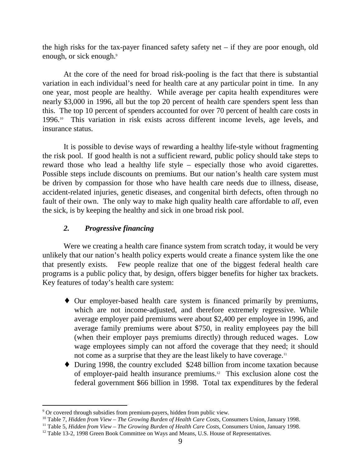the high risks for the tax-payer financed safety safety net – if they are poor enough, old enough, or sick enough.<sup>9</sup>

At the core of the need for broad risk-pooling is the fact that there is substantial variation in each individual's need for health care at any particular point in time. In any one year, most people are healthy. While average per capita health expenditures were nearly \$3,000 in 1996, all but the top 20 percent of health care spenders spent less than this. The top 10 percent of spenders accounted for over 70 percent of health care costs in 1996.10 This variation in risk exists across different income levels, age levels, and insurance status.

It is possible to devise ways of rewarding a healthy life-style without fragmenting the risk pool. If good health is not a sufficient reward, public policy should take steps to reward those who lead a healthy life style – especially those who avoid cigarettes. Possible steps include discounts on premiums. But our nation's health care system must be driven by compassion for those who have health care needs due to illness, disease, accident-related injuries, genetic diseases, and congenital birth defects, often through no fault of their own. The only way to make high quality health care affordable to *all*, even the sick, is by keeping the healthy and sick in one broad risk pool.

### *2. Progressive financing*

Were we creating a health care finance system from scratch today, it would be very unlikely that our nation's health policy experts would create a finance system like the one that presently exists. Few people realize that one of the biggest federal health care programs is a public policy that, by design, offers bigger benefits for higher tax brackets. Key features of today's health care system:

- ♦ Our employer-based health care system is financed primarily by premiums, which are not income-adjusted, and therefore extremely regressive. While average employer paid premiums were about \$2,400 per employee in 1996, and average family premiums were about \$750, in reality employees pay the bill (when their employer pays premiums directly) through reduced wages. Low wage employees simply can not afford the coverage that they need; it should not come as a surprise that they are the least likely to have coverage.<sup>11</sup>
- ♦ During 1998, the country excluded \$248 billion from income taxation because of employer-paid health insurance premiums.12 This exclusion alone cost the federal government \$66 billion in 1998. Total tax expenditures by the federal

 $\overline{a}$ 

<sup>&</sup>lt;sup>9</sup> Or covered through subsidies from premium-payers, hidden from public view.

<sup>10</sup> Table 7, *Hidden from View – The Growing Burden of Health Care Costs*, Consumers Union, January 1998.

<sup>&</sup>lt;sup>11</sup> Table 5, *Hidden from View – The Growing Burden of Health Care Costs*, Consumers Union, January 1998.

 $12$  Table 13-2, 1998 Green Book Committee on Ways and Means, U.S. House of Representatives.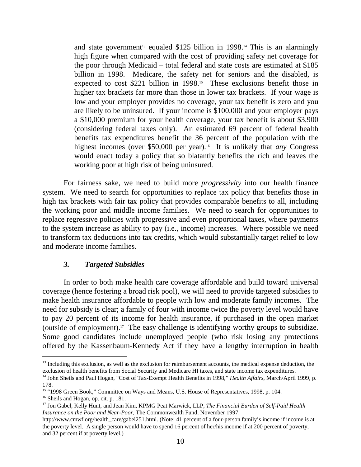and state government<sup>13</sup> equaled \$125 billion in 1998.<sup>14</sup> This is an alarmingly high figure when compared with the cost of providing safety net coverage for the poor through Medicaid – total federal and state costs are estimated at \$185 billion in 1998. Medicare, the safety net for seniors and the disabled, is expected to cost \$221 billion in 1998.<sup>15</sup> These exclusions benefit those in higher tax brackets far more than those in lower tax brackets. If your wage is low and your employer provides no coverage, your tax benefit is zero and you are likely to be uninsured. If your income is \$100,000 and your employer pays a \$10,000 premium for your health coverage, your tax benefit is about \$3,900 (considering federal taxes only). An estimated 69 percent of federal health benefits tax expenditures benefit the 36 percent of the population with the highest incomes (over \$50,000 per year).16 It is unlikely that *any* Congress would enact today a policy that so blatantly benefits the rich and leaves the working poor at high risk of being uninsured.

For fairness sake, we need to build more *progressivity* into our health finance system. We need to search for opportunities to replace tax policy that benefits those in high tax brackets with fair tax policy that provides comparable benefits to all, including the working poor and middle income families. We need to search for opportunities to replace regressive policies with progressive and even proportional taxes, where payments to the system increase as ability to pay (i.e., income) increases. Where possible we need to transform tax deductions into tax credits, which would substantially target relief to low and moderate income families.

#### *3. Targeted Subsidies*

In order to both make health care coverage affordable and build toward universal coverage (hence fostering a broad risk pool), we will need to provide targeted subsidies to make health insurance affordable to people with low and moderate family incomes. The need for subsidy is clear; a family of four with income twice the poverty level would have to pay 20 percent of its income for health insurance, if purchased in the open market (outside of employment).17 The easy challenge is identifying worthy groups to subsidize. Some good candidates include unemployed people (who risk losing any protections offered by the Kassenbaum-Kennedy Act if they have a lengthy interruption in health

 $<sup>13</sup>$  Including this exclusion, as well as the exclusion for reimbursement accounts, the medical expense deduction, the</sup> exclusion of health benefits from Social Security and Medicare HI taxes, and state income tax expenditures.

<sup>14</sup> John Sheils and Paul Hogan, "Cost of Tax-Exempt Health Benefits in 1998," *Health Affairs*, March/April 1999, p. 178.

<sup>&</sup>lt;sup>15</sup> "1998 Green Book," Committee on Ways and Means, U.S. House of Representatives, 1998, p. 104.

<sup>&</sup>lt;sup>16</sup> Sheils and Hogan, op. cit. p. 181.

<sup>17</sup> Jon Gabel, Kelly Hunt, and Jean Kim, KPMG Peat Marwick, LLP, *The Financial Burden of Self-Paid Health Insurance on the Poor and Near-Poor*, The Commonwealth Fund, November 1997.

http://www.cmwf.org/health\_care/gabel251.html. (Note: 41 percent of a four-person family's income if income is at the poverty level. A single person would have to spend 16 percent of her/his income if at 200 percent of poverty, and 32 percent if at poverty level.)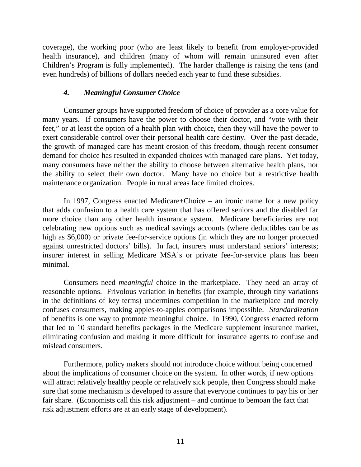coverage), the working poor (who are least likely to benefit from employer-provided health insurance), and children (many of whom will remain uninsured even after Children's Program is fully implemented). The harder challenge is raising the tens (and even hundreds) of billions of dollars needed each year to fund these subsidies.

#### *4. Meaningful Consumer Choice*

Consumer groups have supported freedom of choice of provider as a core value for many years. If consumers have the power to choose their doctor, and "vote with their feet," or at least the option of a health plan with choice, then they will have the power to exert considerable control over their personal health care destiny. Over the past decade, the growth of managed care has meant erosion of this freedom, though recent consumer demand for choice has resulted in expanded choices with managed care plans. Yet today, many consumers have neither the ability to choose between alternative health plans, nor the ability to select their own doctor. Many have no choice but a restrictive health maintenance organization. People in rural areas face limited choices.

In 1997, Congress enacted Medicare+Choice – an ironic name for a new policy that adds confusion to a health care system that has offered seniors and the disabled far more choice than any other health insurance system. Medicare beneficiaries are not celebrating new options such as medical savings accounts (where deductibles can be as high as \$6,000) or private fee-for-service options (in which they are no longer protected against unrestricted doctors' bills). In fact, insurers must understand seniors' interests; insurer interest in selling Medicare MSA's or private fee-for-service plans has been minimal.

Consumers need *meaningful* choice in the marketplace. They need an array of reasonable options. Frivolous variation in benefits (for example, through tiny variations in the definitions of key terms) undermines competition in the marketplace and merely confuses consumers, making apples-to-apples comparisons impossible. *Standardization* of benefits is one way to promote meaningful choice. In 1990, Congress enacted reform that led to 10 standard benefits packages in the Medicare supplement insurance market, eliminating confusion and making it more difficult for insurance agents to confuse and mislead consumers.

Furthermore, policy makers should not introduce choice without being concerned about the implications of consumer choice on the system. In other words, if new options will attract relatively healthy people or relatively sick people, then Congress should make sure that some mechanism is developed to assure that everyone continues to pay his or her fair share. (Economists call this risk adjustment – and continue to bemoan the fact that risk adjustment efforts are at an early stage of development).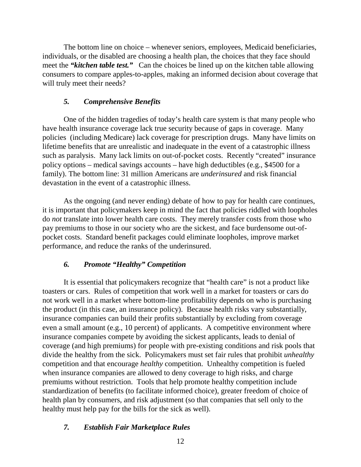The bottom line on choice – whenever seniors, employees, Medicaid beneficiaries, individuals, or the disabled are choosing a health plan, the choices that they face should meet the *"kitchen table test."* Can the choices be lined up on the kitchen table allowing consumers to compare apples-to-apples, making an informed decision about coverage that will truly meet their needs?

### *5. Comprehensive Benefits*

One of the hidden tragedies of today's health care system is that many people who have health insurance coverage lack true security because of gaps in coverage. Many policies (including Medicare) lack coverage for prescription drugs. Many have limits on lifetime benefits that are unrealistic and inadequate in the event of a catastrophic illness such as paralysis. Many lack limits on out-of-pocket costs. Recently "created" insurance policy options – medical savings accounts – have high deductibles (e.g., \$4500 for a family). The bottom line: 31 million Americans are *underinsured* and risk financial devastation in the event of a catastrophic illness.

As the ongoing (and never ending) debate of how to pay for health care continues, it is important that policymakers keep in mind the fact that policies riddled with loopholes do *not* translate into lower health care costs. They merely transfer costs from those who pay premiums to those in our society who are the sickest, and face burdensome out-ofpocket costs. Standard benefit packages could eliminate loopholes, improve market performance, and reduce the ranks of the underinsured.

### *6. Promote "Healthy" Competition*

It is essential that policymakers recognize that "health care" is not a product like toasters or cars. Rules of competition that work well in a market for toasters or cars do not work well in a market where bottom-line profitability depends on who is purchasing the product (in this case, an insurance policy). Because health risks vary substantially, insurance companies can build their profits substantially by excluding from coverage even a small amount (e.g., 10 percent) of applicants. A competitive environment where insurance companies compete by avoiding the sickest applicants, leads to denial of coverage (and high premiums) for people with pre-existing conditions and risk pools that divide the healthy from the sick. Policymakers must set fair rules that prohibit *unhealthy* competition and that encourage *healthy* competition. Unhealthy competition is fueled when insurance companies are allowed to deny coverage to high risks, and charge premiums without restriction. Tools that help promote healthy competition include standardization of benefits (to facilitate informed choice), greater freedom of choice of health plan by consumers, and risk adjustment (so that companies that sell only to the healthy must help pay for the bills for the sick as well).

### *7. Establish Fair Marketplace Rules*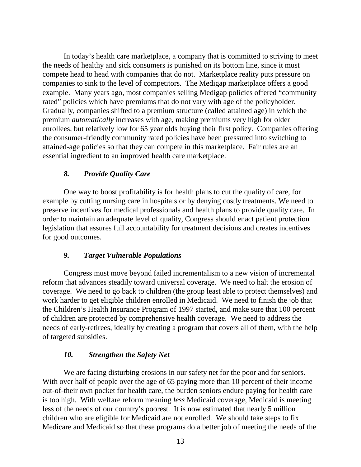In today's health care marketplace, a company that is committed to striving to meet the needs of healthy and sick consumers is punished on its bottom line, since it must compete head to head with companies that do not. Marketplace reality puts pressure on companies to sink to the level of competitors. The Medigap marketplace offers a good example. Many years ago, most companies selling Medigap policies offered "community rated" policies which have premiums that do not vary with age of the policyholder. Gradually, companies shifted to a premium structure (called attained age) in which the premium *automatically* increases with age, making premiums very high for older enrollees, but relatively low for 65 year olds buying their first policy. Companies offering the consumer-friendly community rated policies have been pressured into switching to attained-age policies so that they can compete in this marketplace. Fair rules are an essential ingredient to an improved health care marketplace.

### *8. Provide Quality Care*

One way to boost profitability is for health plans to cut the quality of care, for example by cutting nursing care in hospitals or by denying costly treatments. We need to preserve incentives for medical professionals and health plans to provide quality care. In order to maintain an adequate level of quality, Congress should enact patient protection legislation that assures full accountability for treatment decisions and creates incentives for good outcomes.

### *9. Target Vulnerable Populations*

Congress must move beyond failed incrementalism to a new vision of incremental reform that advances steadily toward universal coverage. We need to halt the erosion of coverage. We need to go back to children (the group least able to protect themselves) and work harder to get eligible children enrolled in Medicaid. We need to finish the job that the Children's Health Insurance Program of 1997 started, and make sure that 100 percent of children are protected by comprehensive health coverage. We need to address the needs of early-retirees, ideally by creating a program that covers all of them, with the help of targeted subsidies.

### *10. Strengthen the Safety Net*

We are facing disturbing erosions in our safety net for the poor and for seniors. With over half of people over the age of 65 paying more than 10 percent of their income out-of-their own pocket for health care, the burden seniors endure paying for health care is too high. With welfare reform meaning *less* Medicaid coverage, Medicaid is meeting less of the needs of our country's poorest. It is now estimated that nearly 5 million children who are eligible for Medicaid are not enrolled. We should take steps to fix Medicare and Medicaid so that these programs do a better job of meeting the needs of the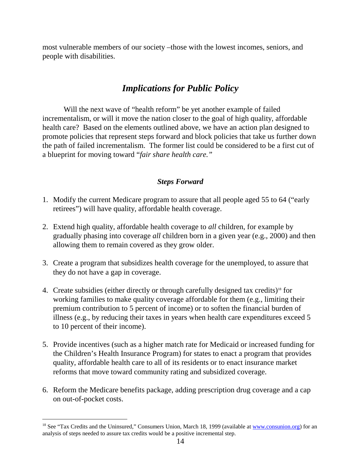most vulnerable members of our society –those with the lowest incomes, seniors, and people with disabilities.

### *Implications for Public Policy*

Will the next wave of "health reform" be yet another example of failed incrementalism, or will it move the nation closer to the goal of high quality, affordable health care? Based on the elements outlined above, we have an action plan designed to promote policies that represent steps forward and block policies that take us further down the path of failed incrementalism. The former list could be considered to be a first cut of a blueprint for moving toward "*fair share health care."*

### *Steps Forward*

- 1. Modify the current Medicare program to assure that all people aged 55 to 64 ("early retirees") will have quality, affordable health coverage.
- 2. Extend high quality, affordable health coverage to *all* children, for example by gradually phasing into coverage *all* children born in a given year (e.g., 2000) and then allowing them to remain covered as they grow older.
- 3. Create a program that subsidizes health coverage for the unemployed, to assure that they do not have a gap in coverage.
- 4. Create subsidies (either directly or through carefully designed tax credits)<sup>18</sup> for working families to make quality coverage affordable for them (e.g., limiting their premium contribution to 5 percent of income) or to soften the financial burden of illness (e.g., by reducing their taxes in years when health care expenditures exceed 5 to 10 percent of their income).
- 5. Provide incentives (such as a higher match rate for Medicaid or increased funding for the Children's Health Insurance Program) for states to enact a program that provides quality, affordable health care to all of its residents or to enact insurance market reforms that move toward community rating and subsidized coverage.
- 6. Reform the Medicare benefits package, adding prescription drug coverage and a cap on out-of-pocket costs.

 $\overline{a}$ 

<sup>&</sup>lt;sup>18</sup> See "Tax Credits and the Uninsured," Consumers Union, March 18, 1999 (available at www.consunion.org) for an analysis of steps needed to assure tax credits would be a positive incremental step.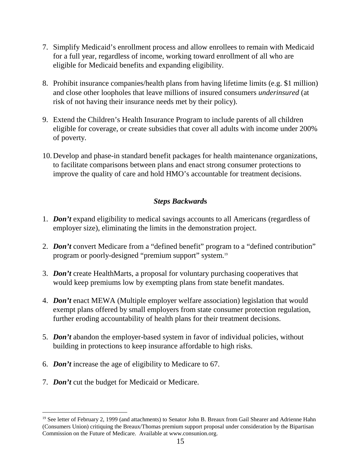- 7. Simplify Medicaid's enrollment process and allow enrollees to remain with Medicaid for a full year, regardless of income, working toward enrollment of all who are eligible for Medicaid benefits and expanding eligibility.
- 8. Prohibit insurance companies/health plans from having lifetime limits (e.g. \$1 million) and close other loopholes that leave millions of insured consumers *underinsured* (at risk of not having their insurance needs met by their policy).
- 9. Extend the Children's Health Insurance Program to include parents of all children eligible for coverage, or create subsidies that cover all adults with income under 200% of poverty.
- 10.Develop and phase-in standard benefit packages for health maintenance organizations, to facilitate comparisons between plans and enact strong consumer protections to improve the quality of care and hold HMO's accountable for treatment decisions.

### *Steps Backward***s**

- 1. *Don't* expand eligibility to medical savings accounts to all Americans (regardless of employer size), eliminating the limits in the demonstration project.
- 2. *Don't* convert Medicare from a "defined benefit" program to a "defined contribution" program or poorly-designed "premium support" system.19
- 3. *Don't* create HealthMarts, a proposal for voluntary purchasing cooperatives that would keep premiums low by exempting plans from state benefit mandates.
- 4. *Don't* enact MEWA (Multiple employer welfare association) legislation that would exempt plans offered by small employers from state consumer protection regulation, further eroding accountability of health plans for their treatment decisions.
- 5. *Don't* abandon the employer-based system in favor of individual policies, without building in protections to keep insurance affordable to high risks.
- 6. *Don't* increase the age of eligibility to Medicare to 67.
- 7. *Don't* cut the budget for Medicaid or Medicare.

 $\overline{a}$ 

<sup>&</sup>lt;sup>19</sup> See letter of February 2, 1999 (and attachments) to Senator John B. Breaux from Gail Shearer and Adrienne Hahn (Consumers Union) critiquing the Breaux/Thomas premium support proposal under consideration by the Bipartisan Commission on the Future of Medicare. Available at www.consunion.org.